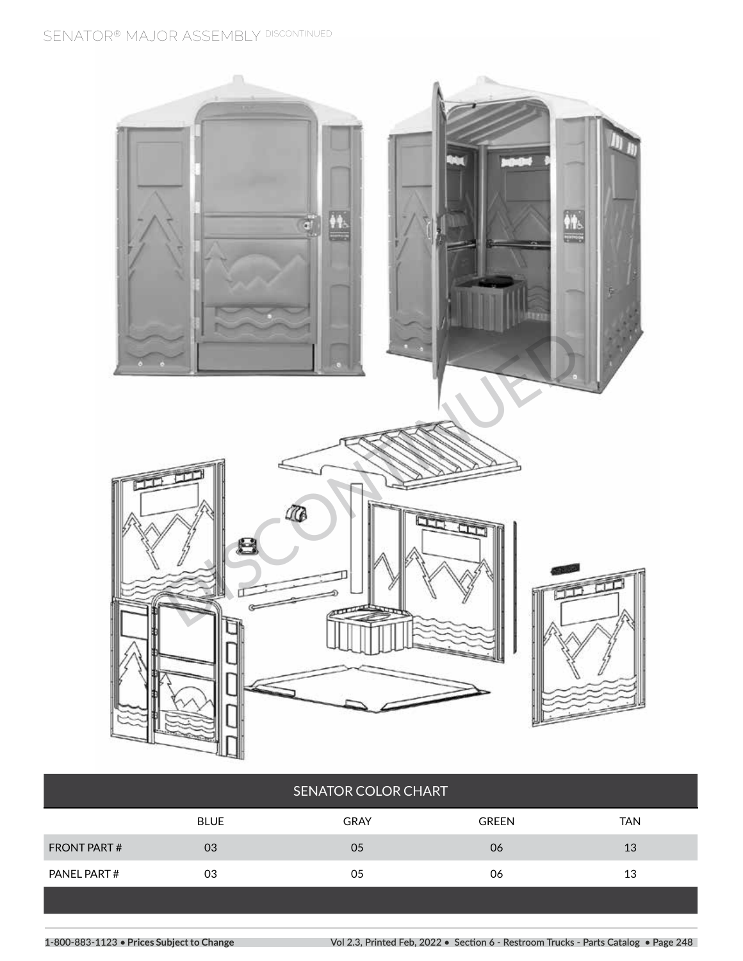

|             | <b>SENATOR COLOR CHART</b> |              |            |
|-------------|----------------------------|--------------|------------|
| <b>BLUE</b> | <b>GRAY</b>                | <b>GREEN</b> | <b>TAN</b> |
| 03          | 05                         | 06           | 13         |
| 03          | 05                         | 06           | 13         |
|             |                            |              |            |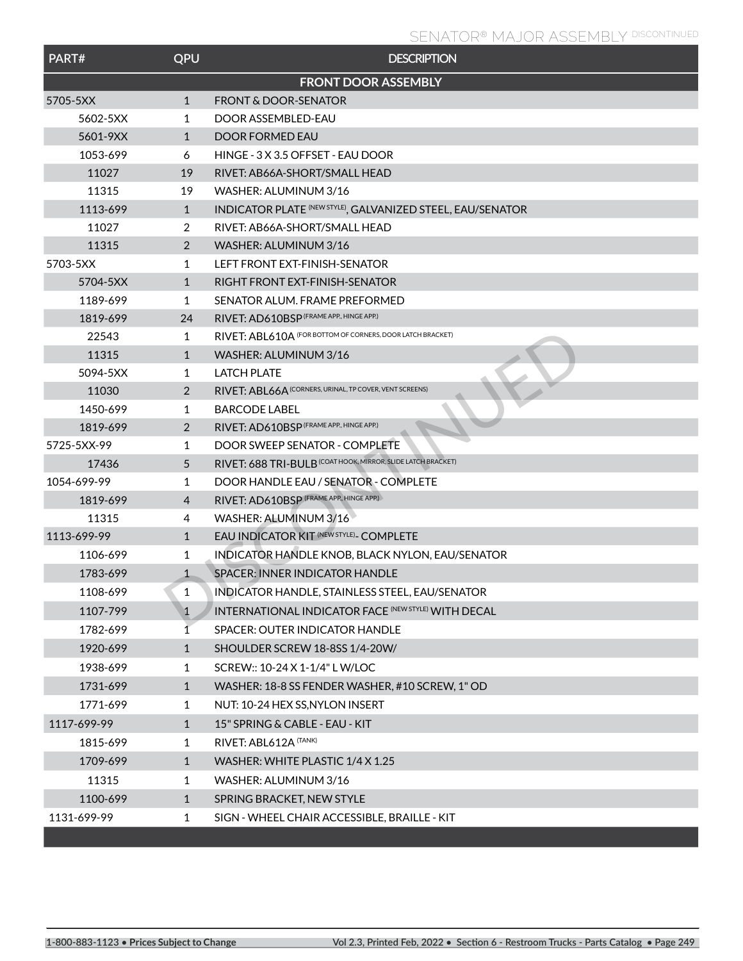| PART#       | QPU            | <b>DESCRIPTION</b>                                           |
|-------------|----------------|--------------------------------------------------------------|
|             |                | <b>FRONT DOOR ASSEMBLY</b>                                   |
| 5705-5XX    | $\mathbf{1}$   | <b>FRONT &amp; DOOR-SENATOR</b>                              |
| 5602-5XX    | $\mathbf{1}$   | DOOR ASSEMBLED-EAU                                           |
| 5601-9XX    | $\mathbf{1}$   | DOOR FORMED EAU                                              |
| 1053-699    | 6              | HINGE - 3 X 3.5 OFFSET - EAU DOOR                            |
| 11027       | 19             | RIVET: AB66A-SHORT/SMALL HEAD                                |
| 11315       | 19             | WASHER: ALUMINUM 3/16                                        |
| 1113-699    | $\mathbf{1}$   | INDICATOR PLATE (NEW STYLE), GALVANIZED STEEL, EAU/SENATOR   |
| 11027       | 2              | RIVET: AB66A-SHORT/SMALL HEAD                                |
| 11315       | 2              | WASHER: ALUMINUM 3/16                                        |
| 5703-5XX    | $\mathbf{1}$   | LEFT FRONT EXT-FINISH-SENATOR                                |
| 5704-5XX    | $\mathbf{1}$   | RIGHT FRONT EXT-FINISH-SENATOR                               |
| 1189-699    | $\mathbf{1}$   | SENATOR ALUM. FRAME PREFORMED                                |
| 1819-699    | 24             | RIVET: AD610BSP (FRAME APP., HINGE APP.)                     |
| 22543       | 1              | RIVET: ABL610A (FOR BOTTOM OF CORNERS, DOOR LATCH BRACKET)   |
| 11315       | $\mathbf{1}$   | WASHER: ALUMINUM 3/16                                        |
| 5094-5XX    | $\mathbf{1}$   | <b>LATCH PLATE</b>                                           |
| 11030       | 2              | RIVET: ABL66A (CORNERS, URINAL, TP COVER, VENT SCREENS)      |
| 1450-699    | 1              | <b>BARCODE LABEL</b>                                         |
| 1819-699    | $\overline{2}$ | RIVET: AD610BSP (FRAME APP., HINGE APP.)                     |
| 5725-5XX-99 | 1              | DOOR SWEEP SENATOR - COMPLETE                                |
| 17436       | 5              | RIVET: 688 TRI-BULB (COAT HOOK, MIRROR, SLIDE LATCH BRACKET) |
| 1054-699-99 | 1              | DOOR HANDLE EAU / SENATOR - COMPLETE                         |
| 1819-699    | 4              | RIVET: AD610BSP (FRAME APP., HINGE APP.)                     |
| 11315       | 4              | WASHER: ALUMINUM 3/16                                        |
| 1113-699-99 | $\mathbf{1}$   | EAU INDICATOR KIT (NEW STYLE)- COMPLETE                      |
| 1106-699    | 1              | INDICATOR HANDLE KNOB, BLACK NYLON, EAU/SENATOR              |
| 1783-699    | $\mathbf{1}$   | <b>SPACER: INNER INDICATOR HANDLE</b>                        |
| 1108-699    | 1              | INDICATOR HANDLE, STAINLESS STEEL, EAU/SENATOR               |
| 1107-799    | $\mathbf{1}$   | <b>INTERNATIONAL INDICATOR FACE (NEW STYLE) WITH DECAL</b>   |
| 1782-699    | 1              | SPACER: OUTER INDICATOR HANDLE                               |
| 1920-699    | $\mathbf{1}$   | SHOULDER SCREW 18-8SS 1/4-20W/                               |
| 1938-699    | 1              | SCREW:: 10-24 X 1-1/4" L W/LOC                               |
| 1731-699    | $\mathbf{1}$   | WASHER: 18-8 SS FENDER WASHER, #10 SCREW, 1" OD              |
| 1771-699    | 1              | NUT: 10-24 HEX SS, NYLON INSERT                              |
| 1117-699-99 | $\mathbf{1}$   | 15" SPRING & CABLE - EAU - KIT                               |
| 1815-699    | 1              | RIVET: ABL612A (TANK)                                        |
| 1709-699    | $\mathbf{1}$   | WASHER: WHITE PLASTIC 1/4 X 1.25                             |
| 11315       | 1              | WASHER: ALUMINUM 3/16                                        |
| 1100-699    | $\mathbf{1}$   | SPRING BRACKET, NEW STYLE                                    |
| 1131-699-99 | $\mathbf{1}$   | SIGN - WHEEL CHAIR ACCESSIBLE, BRAILLE - KIT                 |
|             |                |                                                              |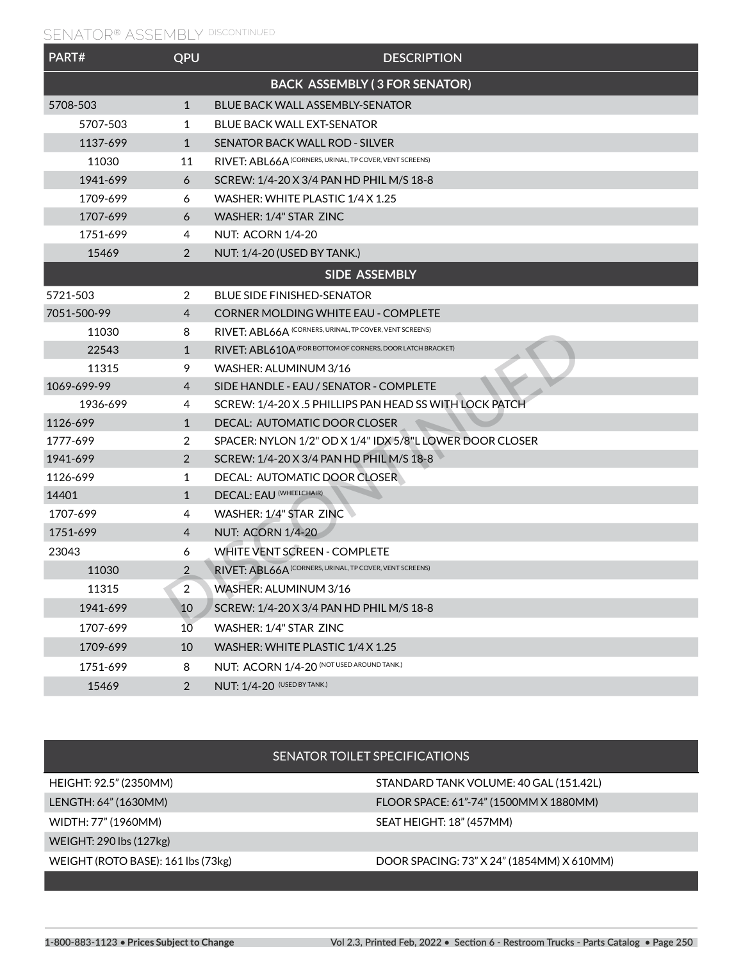| PART#       | QPU            | <b>DESCRIPTION</b>                                         |
|-------------|----------------|------------------------------------------------------------|
|             |                | <b>BACK ASSEMBLY (3 FOR SENATOR)</b>                       |
| 5708-503    | $\mathbf{1}$   | <b>BLUE BACK WALL ASSEMBLY-SENATOR</b>                     |
| 5707-503    | 1              | <b>BLUE BACK WALL EXT-SENATOR</b>                          |
| 1137-699    | $\mathbf{1}$   | SENATOR BACK WALL ROD - SILVER                             |
| 11030       | 11             | RIVET: ABL66A (CORNERS, URINAL, TP COVER, VENT SCREENS)    |
| 1941-699    | 6              | SCREW: 1/4-20 X 3/4 PAN HD PHIL M/S 18-8                   |
| 1709-699    | 6              | WASHER: WHITE PLASTIC 1/4 X 1.25                           |
| 1707-699    | 6              | WASHER: 1/4" STAR ZINC                                     |
| 1751-699    | 4              | <b>NUT: ACORN 1/4-20</b>                                   |
| 15469       | 2              | NUT: 1/4-20 (USED BY TANK.)                                |
|             |                | SIDE ASSEMBLY                                              |
| 5721-503    | 2              | <b>BLUE SIDE FINISHED-SENATOR</b>                          |
| 7051-500-99 | 4              | <b>CORNER MOLDING WHITE EAU - COMPLETE</b>                 |
| 11030       | 8              | RIVET: ABL66A (CORNERS, URINAL, TP COVER, VENT SCREENS)    |
| 22543       | $\mathbf{1}$   | RIVET: ABL610A (FOR BOTTOM OF CORNERS, DOOR LATCH BRACKET) |
| 11315       | 9              | WASHER: ALUMINUM 3/16                                      |
| 1069-699-99 | 4              | SIDE HANDLE - EAU / SENATOR - COMPLETE                     |
| 1936-699    | 4              | SCREW: 1/4-20 X.5 PHILLIPS PAN HEAD SS WITH LOCK PATCH     |
| 1126-699    | $\mathbf{1}$   | DECAL: AUTOMATIC DOOR CLOSER                               |
| 1777-699    | 2              | SPACER: NYLON 1/2" OD X 1/4" IDX 5/8"L LOWER DOOR CLOSER   |
| 1941-699    | 2              | SCREW: 1/4-20 X 3/4 PAN HD PHIL M/S 18-8                   |
| 1126-699    | 1              | DECAL: AUTOMATIC DOOR CLOSER                               |
| 14401       | $\mathbf{1}$   | DECAL: EAU (WHEELCHAIR)                                    |
| 1707-699    | 4              | WASHER: 1/4" STAR ZINC                                     |
| 1751-699    | 4              | <b>NUT: ACORN 1/4-20</b>                                   |
| 23043       | 6              | <b>WHITE VENT SCREEN - COMPLETE</b>                        |
| 11030       | $\overline{2}$ | RIVET: ABL66A (CORNERS, URINAL, TP COVER, VENT SCREENS)    |
| 11315       | $\sqrt{2}$     | WASHER: ALUMINUM 3/16                                      |
| 1941-699    | 10             | SCREW: 1/4-20 X 3/4 PAN HD PHIL M/S 18-8                   |
| 1707-699    | 10             | WASHER: 1/4" STAR ZINC                                     |
| 1709-699    | 10             | WASHER: WHITE PLASTIC 1/4 X 1.25                           |
| 1751-699    | 8              | NUT: ACORN 1/4-20 (NOT USED AROUND TANK.)                  |
| 15469       | $\overline{2}$ | <b>NUT: 1/4-20 (USED BY TANK.)</b>                         |

| HEIGHT: 92.5" (2350MM)             | STANDARD TANK VOLUME: 40 GAL (151.42L)    |
|------------------------------------|-------------------------------------------|
| LENGTH: 64" (1630MM)               | FLOOR SPACE: 61"-74" (1500MM X 1880MM)    |
| WIDTH: 77" (1960MM)                | SEAT HEIGHT: 18" (457MM)                  |
| WEIGHT: 290 lbs (127kg)            |                                           |
| WEIGHT (ROTO BASE): 161 lbs (73kg) | DOOR SPACING: 73" X 24" (1854MM) X 610MM) |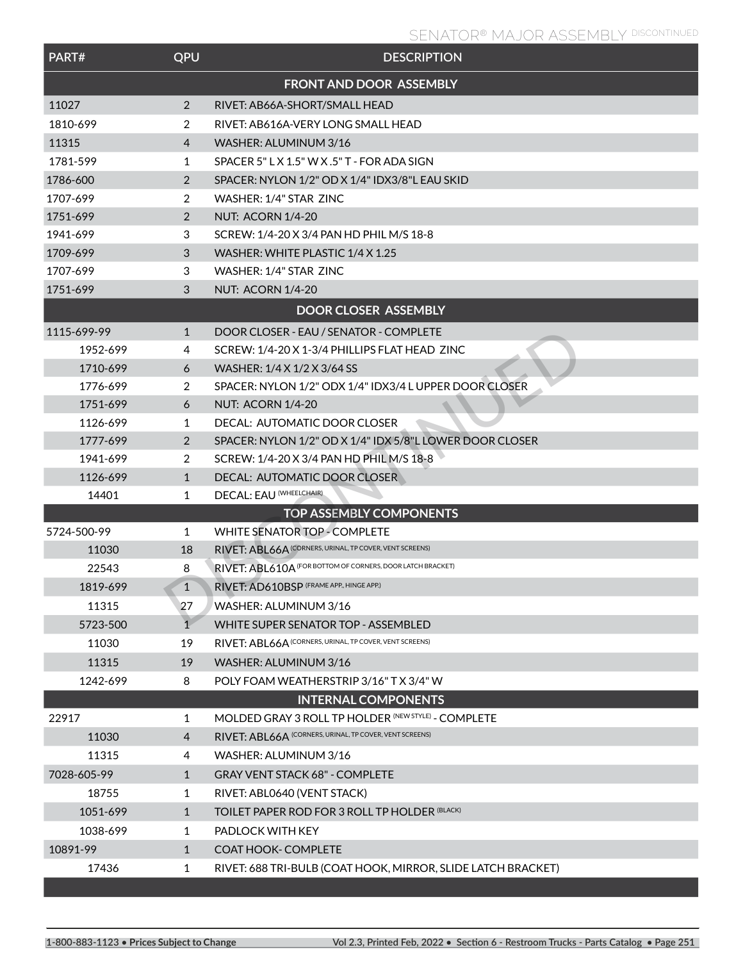| PART#       | QPU             | <b>DESCRIPTION</b>                                           |
|-------------|-----------------|--------------------------------------------------------------|
|             |                 | <b>FRONT AND DOOR ASSEMBLY</b>                               |
| 11027       | 2               | RIVET: AB66A-SHORT/SMALL HEAD                                |
| 1810-699    | 2               | RIVET: AB616A-VERY LONG SMALL HEAD                           |
| 11315       | 4               | WASHER: ALUMINUM 3/16                                        |
| 1781-599    | 1               | SPACER 5" L X 1.5" W X .5" T - FOR ADA SIGN                  |
| 1786-600    | 2               | SPACER: NYLON 1/2" OD X 1/4" IDX3/8"L EAU SKID               |
| 1707-699    | 2               | WASHER: 1/4" STAR ZINC                                       |
| 1751-699    | 2               | <b>NUT: ACORN 1/4-20</b>                                     |
| 1941-699    | 3               | SCREW: 1/4-20 X 3/4 PAN HD PHIL M/S 18-8                     |
| 1709-699    | 3               | WASHER: WHITE PLASTIC 1/4 X 1.25                             |
| 1707-699    | 3               | WASHER: 1/4" STAR ZINC                                       |
| 1751-699    | 3               | <b>NUT: ACORN 1/4-20</b>                                     |
|             |                 | <b>DOOR CLOSER ASSEMBLY</b>                                  |
| 1115-699-99 | $\mathbf{1}$    | DOOR CLOSER - EAU / SENATOR - COMPLETE                       |
| 1952-699    | 4               | SCREW: 1/4-20 X 1-3/4 PHILLIPS FLAT HEAD ZINC                |
| 1710-699    | 6               | WASHER: 1/4 X 1/2 X 3/64 SS                                  |
| 1776-699    | 2               | SPACER: NYLON 1/2" ODX 1/4" IDX3/4 L UPPER DOOR CLOSER       |
| 1751-699    | 6               | <b>NUT: ACORN 1/4-20</b>                                     |
| 1126-699    | 1               | DECAL: AUTOMATIC DOOR CLOSER                                 |
| 1777-699    | $\overline{2}$  | SPACER: NYLON 1/2" OD X 1/4" IDX 5/8"L LOWER DOOR CLOSER     |
| 1941-699    | 2               | SCREW: 1/4-20 X 3/4 PAN HD PHIL M/S 18-8                     |
| 1126-699    | $\mathbf{1}$    | DECAL: AUTOMATIC DOOR CLOSER                                 |
| 14401       | 1               | DECAL: EAU (WHEELCHAIR)                                      |
|             |                 | <b>TOP ASSEMBLY COMPONENTS</b>                               |
| 5724-500-99 | 1               | <b>WHITE SENATOR TOP - COMPLETE</b>                          |
| 11030       | 18              | RIVET: ABL66A (CORNERS, URINAL, TP COVER, VENT SCREENS)      |
| 22543       | 8               | RIVET: ABL610A (FOR BOTTOM OF CORNERS, DOOR LATCH BRACKET)   |
| 1819-699    | $\mathbf{1}$    | RIVET: AD610BSP (FRAME APP., HINGE APP.)                     |
| 11315       | 27              | WASHER: ALUMINUM 3/16                                        |
| 5723-500    | $1\overline{ }$ | WHITE SUPER SENATOR TOP - ASSEMBLED                          |
| 11030       | 19              | RIVET: ABL66A (CORNERS, URINAL, TP COVER, VENT SCREENS)      |
| 11315       | 19              | WASHER: ALUMINUM 3/16                                        |
| 1242-699    | 8               | POLY FOAM WEATHERSTRIP 3/16" T X 3/4" W                      |
|             |                 | <b>INTERNAL COMPONENTS</b>                                   |
| 22917       | $\mathbf{1}$    | MOLDED GRAY 3 ROLL TP HOLDER (NEW STYLE) - COMPLETE          |
| 11030       | $\overline{4}$  | RIVET: ABL66A (CORNERS, URINAL, TP COVER, VENT SCREENS)      |
| 11315       | 4               | WASHER: ALUMINUM 3/16                                        |
| 7028-605-99 | $\mathbf{1}$    | <b>GRAY VENT STACK 68" - COMPLETE</b>                        |
| 18755       | 1               | RIVET: ABL0640 (VENT STACK)                                  |
| 1051-699    | $\mathbf{1}$    | TOILET PAPER ROD FOR 3 ROLL TP HOLDER (BLACK)                |
| 1038-699    | 1               | PADLOCK WITH KEY                                             |
| 10891-99    | $\mathbf{1}$    | <b>COAT HOOK- COMPLETE</b>                                   |
| 17436       | 1               | RIVET: 688 TRI-BULB (COAT HOOK, MIRROR, SLIDE LATCH BRACKET) |